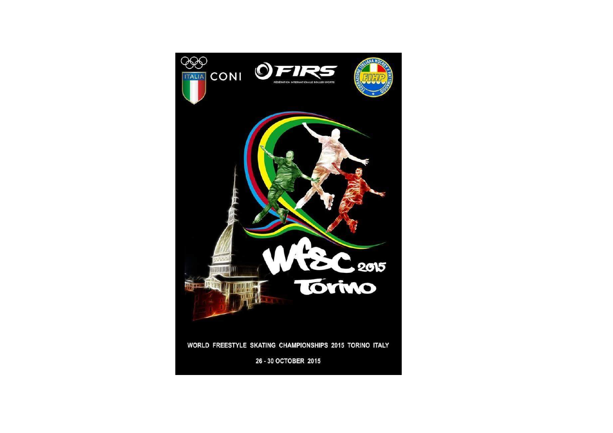